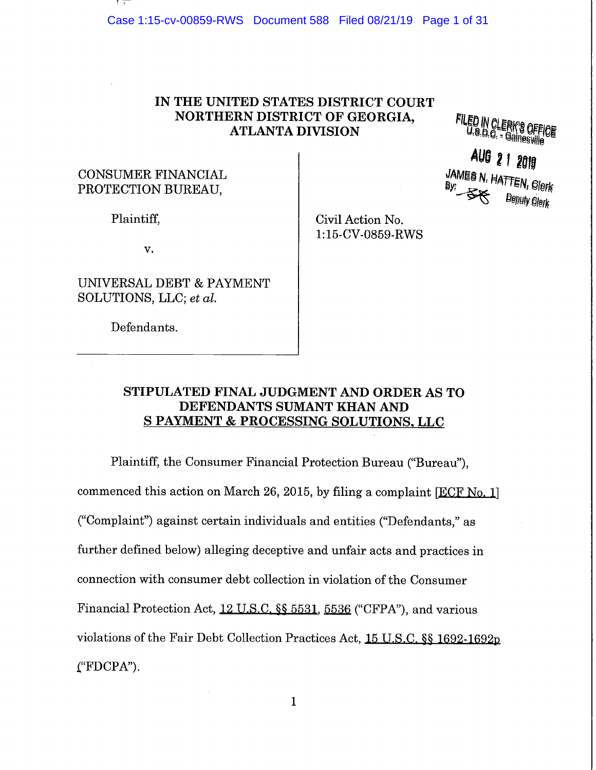Case 1:15-cv-00859-RWS Document 588 Filed 08/21/19 Page 1 of 31

## **IN THE UNITED STATES DISTRICT COURT NORTHERN DISTRICT OF GEORGIA, ATLANTA DIVISION**

FILED IN CLERK'S OFFI<br>U.S.D.C. = Gainesville

## CONSUMER FINANCIAL PROTECTION BUREAU,

**AUG 2 1 2019**<br>JAMES N. HATTEN, Glerk **Deputy Glerk** 

Plaintiff,

V.

UNIVERSAL DEBT & PAYMENT SOLUTIONS, LLC; *et al.* 

Defendants.

Civil Action No. 1:15-CV-0859-RWS

## **STIPULATED FINAL JUDGMENT AND ORDER AS TO DEFENDANTS SUMANT KHAN AND S PAYMENT & PROCESSING SOLUTIONS, LLC**

Plaintiff, the Consumer Financial Protection Bureau ("Bureau"), commenced this action on March 26, 2015, by filing a complaint [ECF No. 1] ("Complaint") against certain individuals and entities ("Defendants," as further defined below) alleging deceptive and unfair acts and practices in connection with consumer debt collection in violation of the Consumer Financial Protection Act, 12 U.S.C. §§ 5531, 5536 ("CFPA"), and various violations of the Fair Debt Collection Practices Act, 15 U.S.C. §§ 1692-1692p  $'$ FDCPA").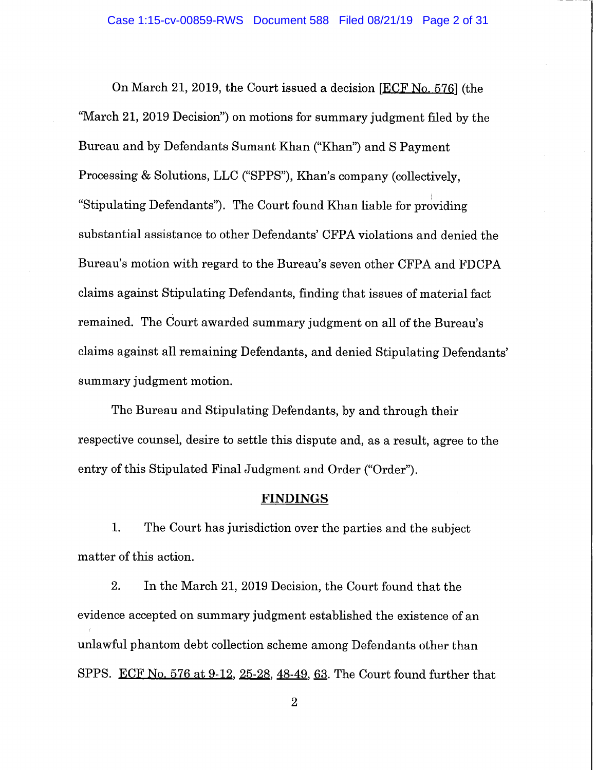On March 21, 2019, the Court issued a decision [FCF No. 576] (the "March 21, 2019 Decision") on motions for summary judgment filed by the Bureau and by Defendants Sumant Khan ("Khan") and S Payment Processing & Solutions, LLC ("SPPS"), Khan's company (collectively, "Stipulating Defendants"). The Court found Khan liable for providing substantial assistance to other Defendants' CFPA violations and denied the Bureau's motion with regard to the Bureau's seven other CFPA and FDCPA claims against Stipulating Defendants, finding that issues of material fact remained. The Court awarded summary judgment on all of the Bureau's claims against all remaining Defendants, and denied Stipulating Defendants' summary judgment motion.

The Bureau and Stipulating Defendants, by and through their respective counsel, desire to settle this dispute and, as a result, agree to the entry of this Stipulated Final Judgment and Order ("Order").

#### **FINDINGS**

1. The Court has jurisdiction over the parties and the subject matter of this action.

2. In the March 21, 2019 Decision, the Court found that the evidence accepted on summary judgment established the existence of an unlawful phantom debt collection scheme among Defendants other than SPPS. ECF No. 576 at  $9-12$ ,  $25-28$ ,  $48-49$ ,  $63$ . The Court found further that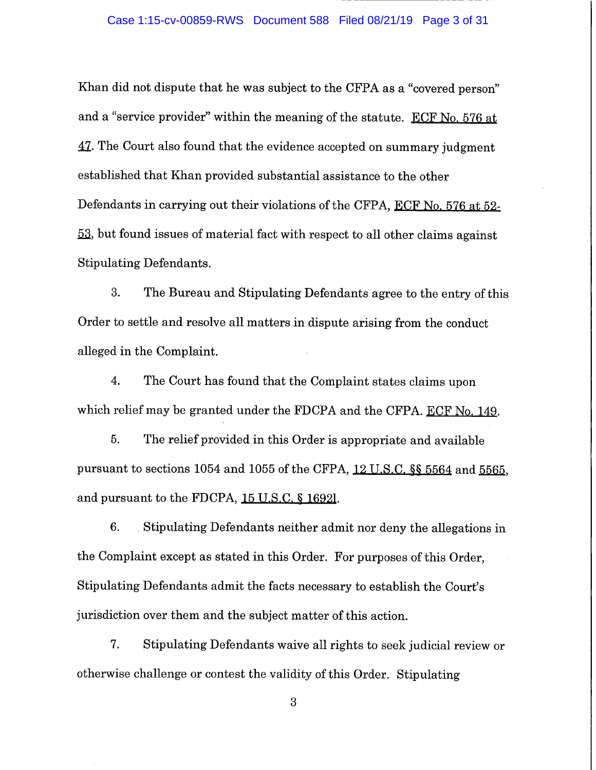#### Case 1:15-cv-00859-RWS Document 588 Filed 08/21/19 Page 3 of 31

Khan did not dispute that he was subject to the CFPA as a "covered person" and a "service provider" within the meaning of the statute. ECF No. 576 at 41. The Court also found that the evidence accepted on summary judgment established that Khan provided substantial assistance to the other Defendants in carrying out their violations of the CFPA, ECF No. 576 at 52-53, but found issues of material fact with respect to all other claims against Stipulating Defendants.

3. The Bureau and Stipulating Defendants agree to the entry of this Order to settle and resolve all matters in dispute arising from the conduct alleged in the Complaint.

4. The Court has found that the Complaint states claims upon which relief may be granted under the FDCPA and the CFPA. ECF No. 149.

5. The relief provided in this Order is appropriate and available pursuant to sections 1054 and 1055 of the CFPA, 12 U.S.C. §§ 5564 and 5565, and pursuant to the FDCPA, 15 U.S.C. § 16921.

6. Stipulating Defendants neither admit nor deny the allegations in the Complaint except as stated in this Order. For purposes of this Order, Stipulating Defendants admit the facts necessary to establish the Court's jurisdiction over them and the subject matter of this action.

7. Stipulating Defendants waive all rights to seek judicial review or otherwise challenge or contest the validity of this Order. Stipulating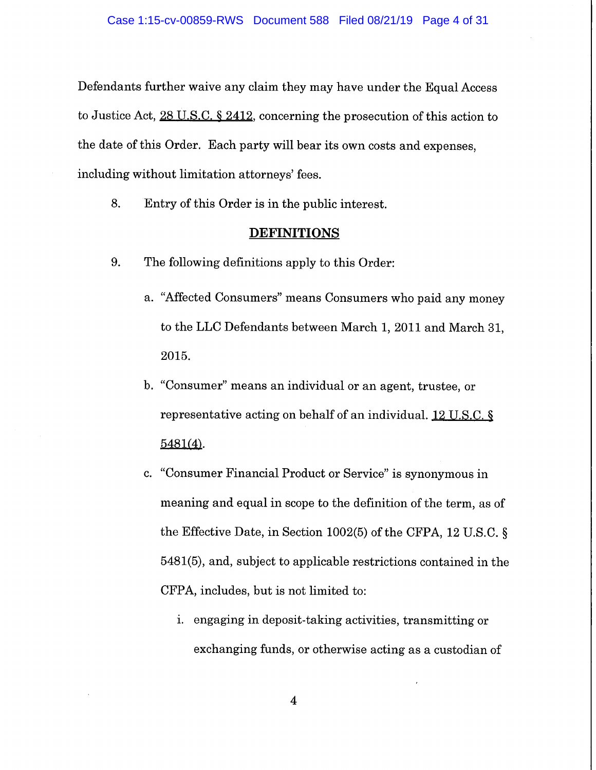Defendants further waive any claim they may have under the Equal Access to Justice Act, 28 U.S.C. § 2412, concerning the prosecution of this action to the date of this Order. Each party will bear its own costs and expenses, including without limitation attorneys' fees.

8. Entry of this Order is in the public interest.

#### **DEFINITIONS**

- 9. The following definitions apply to this Order:
	- a. "Affected Consumers" means Consumers who paid any money to the LLC Defendants between March 1, 2011 and March 31, 2015.
	- b. "Consumer" means an individual or an agent, trustee, or representative acting on behalf of an individual. 12 U.S.C. § 5481(4).
	- c. "Consumer Financial Product or Service" is synonymous in meaning and equal in scope to the definition of the term, as of the Effective Date, in Section 1002(5) of the CFPA, 12 U.S.C. § 5481(5), and, subject to applicable restrictions contained in the CFPA, includes, but is not limited to:
		- i. engaging in deposit-taking activities, transmitting or exchanging funds, or otherwise acting as a custodian of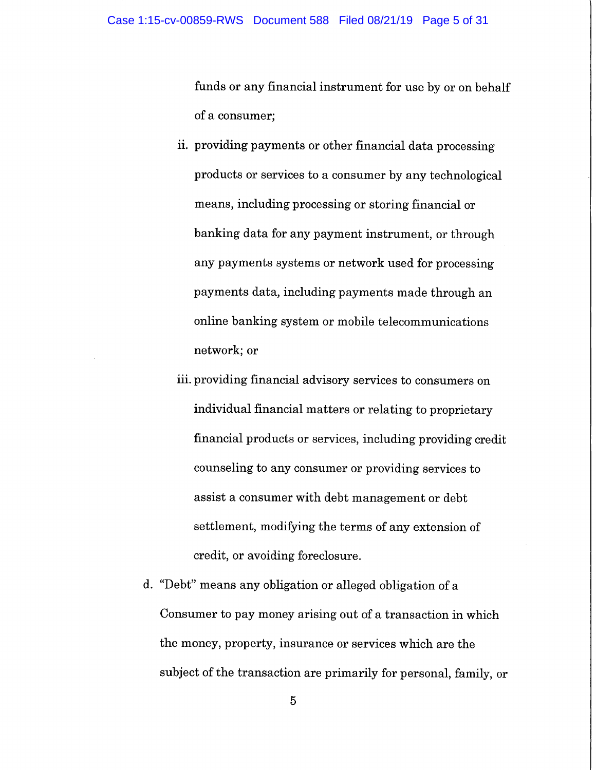funds or any financial instrument for use by or on behalf of a consumer;

- ii. providing payments or other financial data processing products or services to a consumer by any technological means, including processing or storing financial or banking data for any payment instrument, or through any payments systems or network used for processing payments data, including payments made through an online banking system or mobile telecommunications network; or
- iii. providing financial advisory services to consumers on individual financial matters or relating to proprietary financial products or services, including providing credit counseling to any consumer or providing services to assist a consumer with debt management or debt settlement, modifying the terms of any extension of credit, or avoiding foreclosure.
- d. "Debt" means any obligation or alleged obligation of a Consumer to pay money arising out of a transaction in which the money, property, insurance or services which are the subject of the transaction are primarily for personal, family, or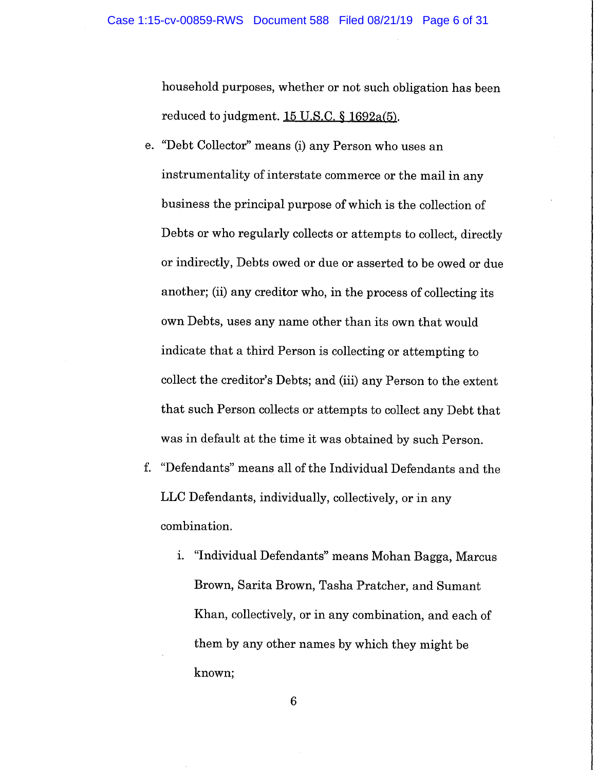household purposes, whether or not such obligation has been reduced to judgment.  $15$  U.S.C. §  $1692a(5)$ .

- e. "Debt Collector" means (i) any Person who uses an instrumentality of interstate commerce or the mail in any business the principal purpose of which is the collection of Debts or who regularly collects or attempts to collect, directly or indirectly, Debts owed or due or asserted to be owed or due another; (ii) any creditor who, in the process of collecting its own Debts, uses any name other than its own that would indicate that a third Person is collecting or attempting to collect the creditor's Debts; and (iii) any Person to the extent that such Person collects or attempts to collect any Debt that was in default at the time it was obtained by such Person.
- f. "Defendants" means all of the Individual Defendants and the LLC Defendants, individually, collectively, or in any combination.
	- i. "Individual Defendants" means Mohan Bagga, Marcus Brown, Santa Brown, Tasha Pratcher, and Sumant Khan, collectively, or in any combination, and each of them by any other names by which they might be known;

 $6\phantom{1}6$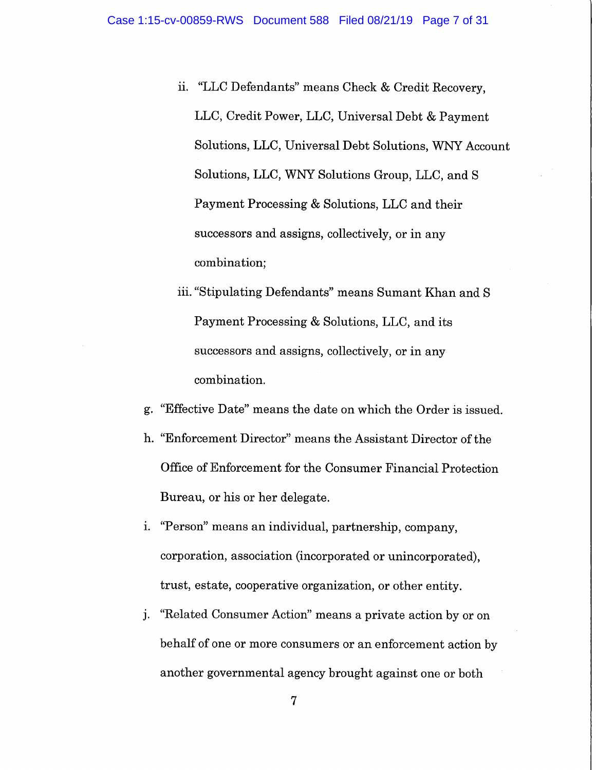- ii. "LLC Defendants" means Check & Credit Recovery, LLC, Credit Power, LLC, Universal Debt & Payment Solutions, LLC, Universal Debt Solutions, WNY Account Solutions, LLC, WNY Solutions Group, LLC, and S Payment Processing & Solutions, LLC and their successors and assigns, collectively, or in any combination;
- iii. "Stipulating Defendants" means Sumant Khan and S Payment Processing & Solutions, LLC, and its successors and assigns, collectively, or in any combination.
- g. "Effective Date" means the date on which the Order is issued.
- h. "Enforcement Director" means the Assistant Director of the Office of Enforcement for the Consumer Financial Protection Bureau, or his or her delegate.
- i. "Person" means an individual, partnership, company, corporation, association (incorporated or unincorporated), trust, estate, cooperative organization, or other entity.
- j. "Related Consumer Action" means a private action by or on behalf of one or more consumers or an enforcement action by another governmental agency brought against one or both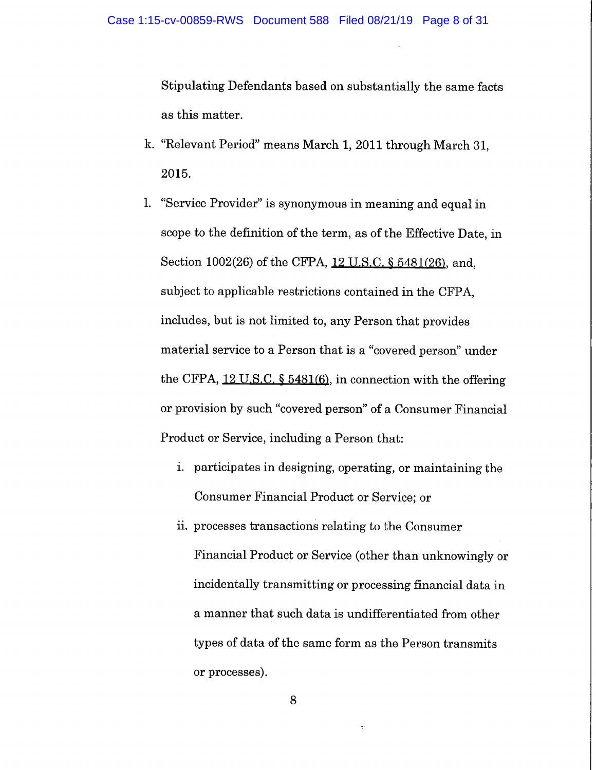Stipulating Defendants based on substantially the same facts as this matter.

- k. "Relevant Period" means March 1, 2011 through March 31, 2015.
- 1. "Service Provider" is synonymous in meaning and equal in scope to the definition of the term, as of the Effective Date, in Section 1002(26) of the CFPA, 12 U.S.C. § 5481(26), and, subject to applicable restrictions contained in the CFPA, includes, but is not limited to, any Person that provides material service to a Person that is a "covered person" under the CFPA, 12 U.S.C. § 5481(6), in connection with the offering or provision by such "covered person" of a Consumer Financial Product or Service, including a Person that:
	- i. participates in designing, operating, or maintaining the Consumer Financial Product or Service; or
	- ii. processes transactions relating to the Consumer Financial Product or Service (other than unknowingly or incidentally transmitting or processing financial data in a manner that such data is undifferentiated from other types of data of the same form as the Person transmits or processes).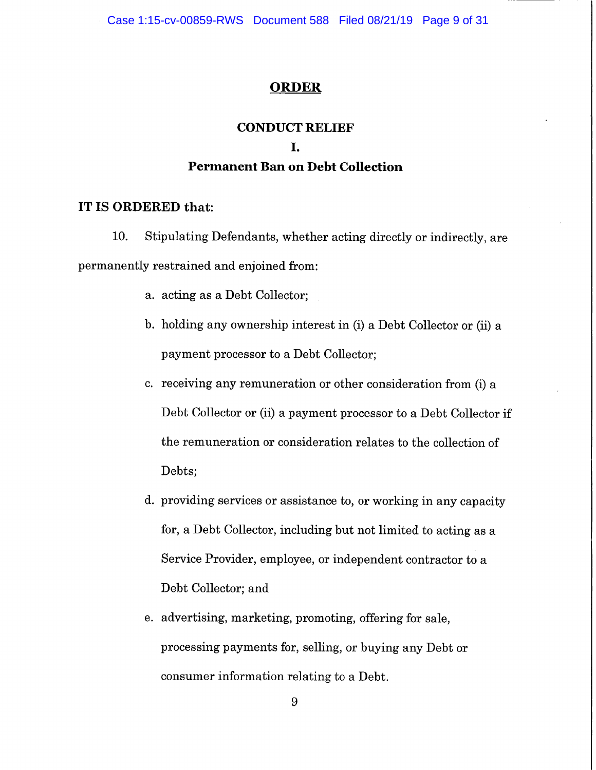Case 1:15-cv-00859-RWS Document 588 Filed 08/21/19 Page 9 of 31

#### **ORDER**

## **CONDUCT RELIEF**

#### L.

## **Permanent Ban on Debt Collection**

#### **IT IS ORDERED that:**

10. Stipulating Defendants, whether acting directly or indirectly, are permanently restrained and enjoined from:

- a. acting as a Debt Collector;
- b. holding any ownership interest in (i) a Debt Collector or (ii) a payment processor to a Debt Collector;
- c. receiving any remuneration or other consideration from (i) a Debt Collector or (ii) a payment processor to a Debt Collector if the remuneration or consideration relates to the collection of Debts;
- d. providing services or assistance to, or working in any capacity for, a Debt Collector, including but not limited to acting as a Service Provider, employee, or independent contractor to a Debt Collector; and
- e. advertising, marketing, promoting, offering for sale, processing payments for, selling, or buying any Debt or consumer information relating to a Debt.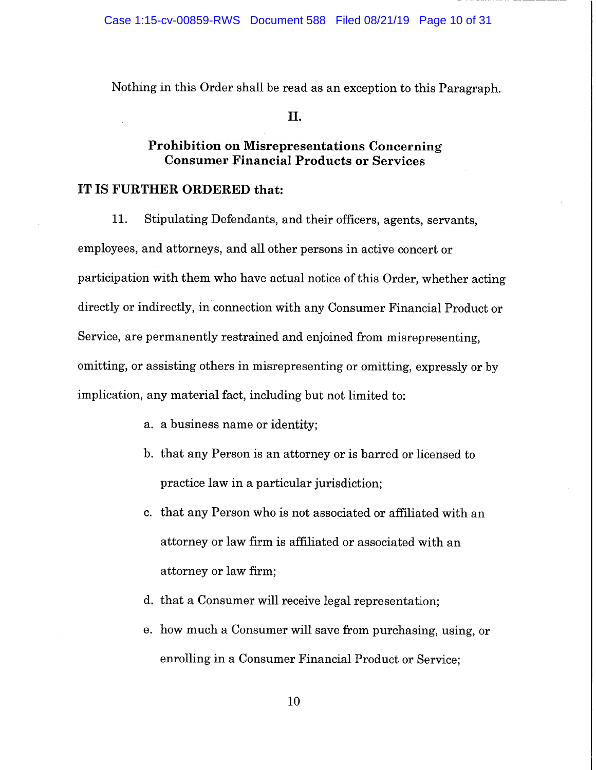Nothing in this Order shall be read as an exception to this Paragraph.

#### II.

## **Prohibition on Misrepresentations Concerning Consumer Financial Products or Services**

## **IT IS FURTHER ORDERED that:**

**11.** Stipulating Defendants, and their officers, agents, servants, employees, and attorneys, and all other persons in active concert or participation with them who have actual notice of this Order, whether acting directly or indirectly, in connection with any Consumer Financial Product or Service, are permanently restrained and enjoined from misrepresenting, omitting, or assisting others in misrepresenting or omitting, expressly or by implication, any material fact, including but not limited to:

- a. a business name or identity;
- b. that any Person is an attorney or is barred or licensed to practice law in a particular jurisdiction;
- c. that any Person who is not associated or affiliated with an attorney or law firm is affiliated or associated with an attorney or law firm;
- d. that a Consumer will receive legal representation;
- e. how much a Consumer will save from purchasing, using, or enrolling in a Consumer Financial Product or Service;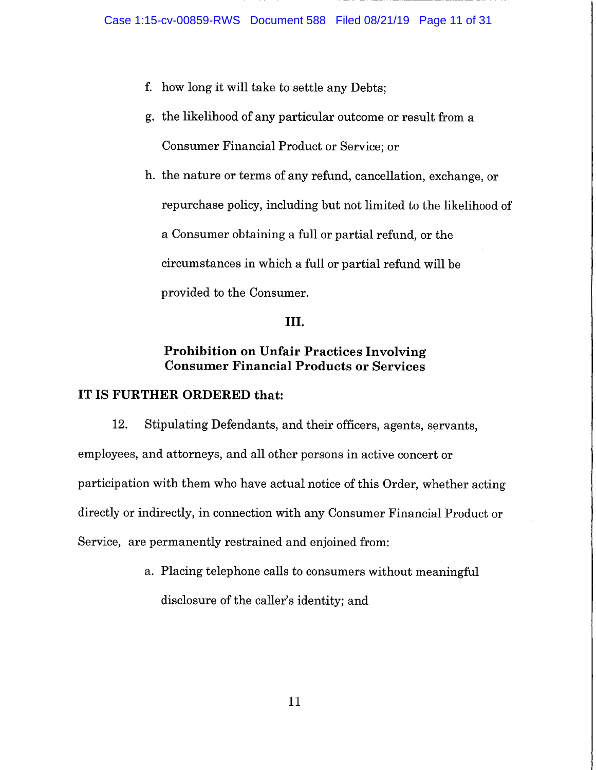- f. how long it will take to settle any Debts;
- g. the likelihood of any particular outcome or result from a Consumer Financial Product or Service; or

h. the nature or terms of any refund, cancellation, exchange, or repurchase policy, including but not limited to the likelihood of a Consumer obtaining a full or partial refund, or the circumstances in which a full or partial refund will be provided to the Consumer.

## **III.**

## **Prohibition on Unfair Practices Involving Consumer Financial Products or Services**

## **IT IS FURTHER ORDERED that:**

12. Stipulating Defendants, and their officers, agents, servants, employees, and attorneys, and all other persons in active concert or participation with them who have actual notice of this Order, whether acting directly or indirectly, in connection with any Consumer Financial Product or Service, are permanently restrained and enjoined from:

> a. Placing telephone calls to consumers without meaningful disclosure of the caller's identity; and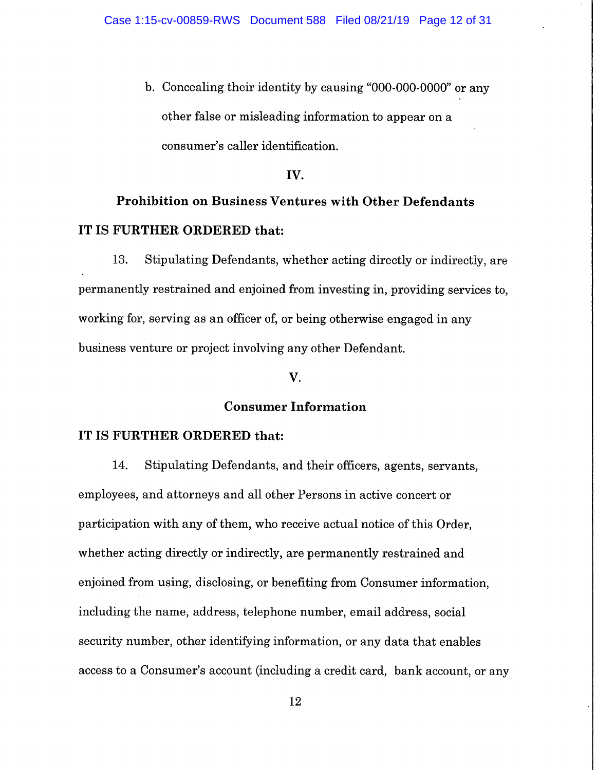b. Concealing their identity by causing "000-000-0000" or any other false or misleading information to appear on a consumer's caller identification.

#### **IV.**

# **Prohibition on Business Ventures with Other Defendants IT IS FURTHER ORDERED that:**

13. Stipulating Defendants, whether acting directly or indirectly, are permanently restrained and enjoined from investing in, providing services to, working for, serving as an officer of, or being otherwise engaged in any business venture or project involving any other Defendant.

#### **V.**

#### **Consumer Information**

#### **IT IS FURTHER ORDERED that:**

14. Stipulating Defendants, and their officers, agents, servants, employees, and attorneys and all other Persons in active concert or participation with any of them, who receive actual notice of this Order, whether acting directly or indirectly, are permanently restrained and enjoined from using, disclosing, or benefiting from Consumer information, including the name, address, telephone number, email address, social security number, other identifying information, or any data that enables access to a Consumer's account (including a credit card, bank account, or any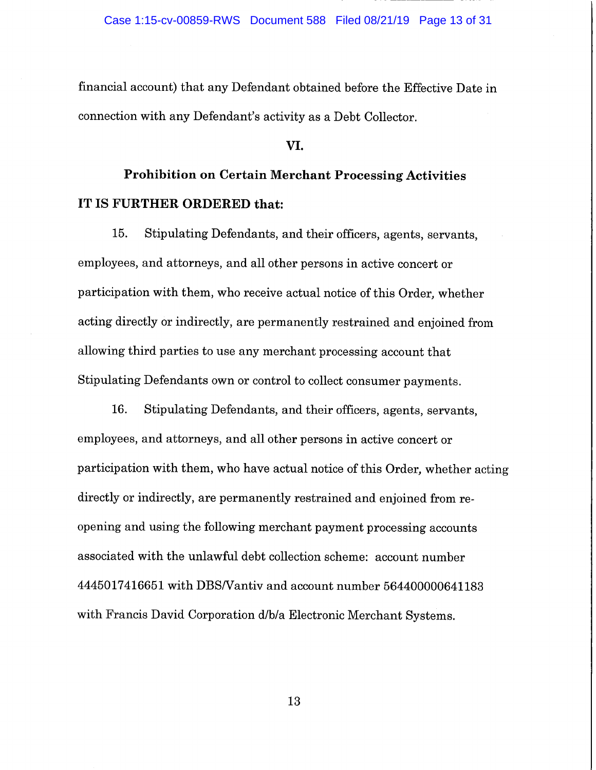financial account) that any Defendant obtained before the Effective Date in connection with any Defendant's activity as a Debt Collector.

#### **VI.**

# **Prohibition on Certain Merchant Processing Activities IT IS FURTHER ORDERED that:**

15. Stipulating Defendants, and their officers, agents, servants, employees, and attorneys, and all other persons in active concert or participation with them, who receive actual notice of this Order, whether acting directly or indirectly, are permanently restrained and enjoined from allowing third parties to use any merchant processing account that Stipulating Defendants own or control to collect consumer payments.

16. Stipulating Defendants, and their officers, agents, servants, employees, and attorneys, and all other persons in active concert or participation with them, who have actual notice of this Order, whether acting directly or indirectly, are permanently restrained and enjoined from reopening and using the following merchant payment processing accounts associated with the unlawful debt collection scheme: account number 4445017416651 with DBS/Vantiv and account number 564400000641183 with Francis David Corporation d/b/a Electronic Merchant Systems.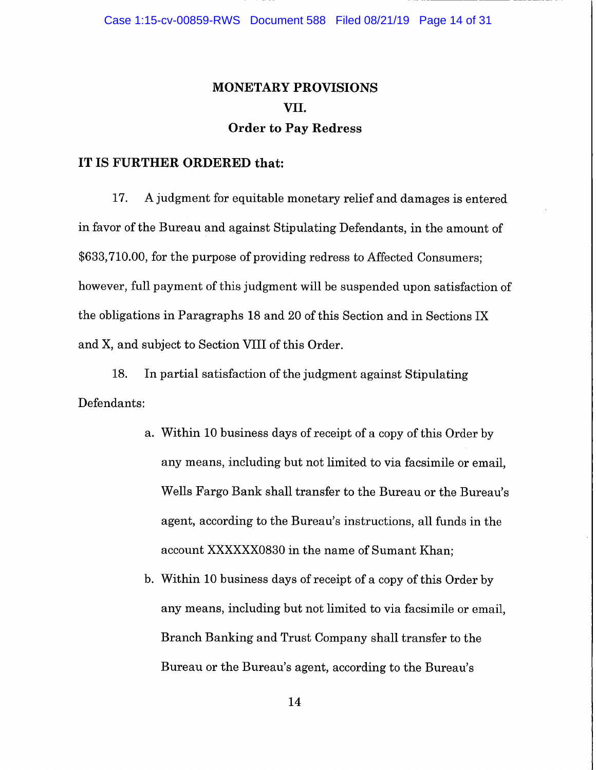## **MONETARY PROVISIONS VII. Order to Pay Redress**

#### **IT IS FURTHER ORDERED that:**

17. A judgment for equitable monetary relief and damages is entered in favor of the Bureau and against Stipulating Defendants, in the amount of \$633,710.00, for the purpose of providing redress to Affected Consumers; however, full payment of this judgment will be suspended upon satisfaction of the obligations in Paragraphs 18 and 20 of this Section and in Sections IX and X, and subject to Section VIII of this Order.

18. In partial satisfaction of the judgment against Stipulating Defendants:

- a. Within 10 business days of receipt of a copy of this Order by any means, including but not limited to via facsimile or email, Wells Fargo Bank shall transfer to the Bureau or the Bureau's agent, according to the Bureau's instructions, all funds in the account XXXXXX0830 in the name of Sumant Khan;
- b. Within 10 business days of receipt of a copy of this Order by any means, including but not limited to via facsimile or email, Branch Banking and Trust Company shall transfer to the Bureau or the Bureau's agent, according to the Bureau's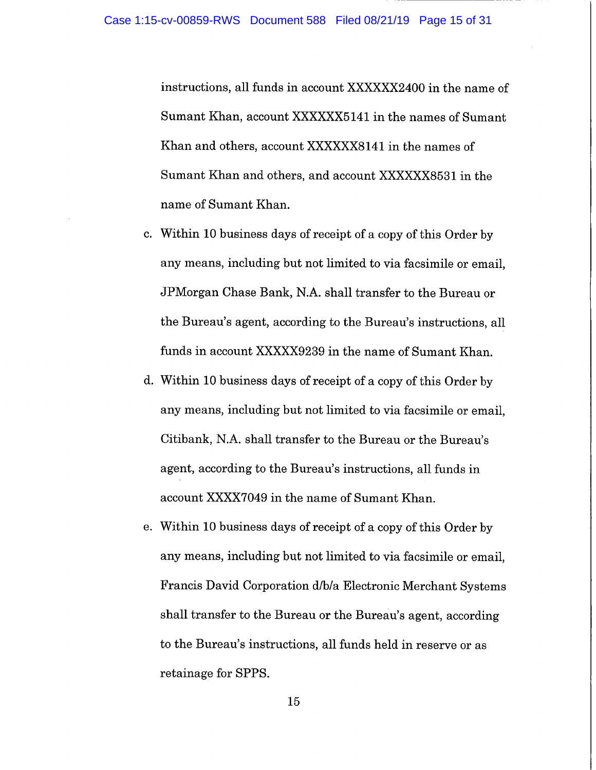instructions, all funds in account XXXXXX2400 in the name of Sumant Khan, account XXXXXX5141 in the names of Sumant Khan and others, account XXXXXX8141 in the names of Sumant Khan and others, and account XXXXXX8531 in the name of Sumant Khan.

- c. Within 10 business days of receipt of a copy of this Order by any means, including but not limited to via facsimile or email, JPMorgan Chase Bank, N.A. shall transfer to the Bureau or the Bureau's agent, according to the Bureau's instructions, all funds in account XXXXX9239 in the name of Sumant Khan.
- d. Within 10 business days of receipt of a copy of this Order by any means, including but not limited to via facsimile or email, Citibank, N.A. shall transfer to the Bureau or the Bureau's agent, according to the Bureau's instructions, all funds in account XXXX7049 in the name of Sumant Khan.
- e. Within 10 business days of receipt of a copy of this Order by any means, including but not limited to via facsimile or email, Francis David Corporation d/b/a Electronic Merchant Systems shall transfer to the Bureau or the Bureau's agent, according to the Bureau's instructions, all funds held in reserve or as retainage for SPPS.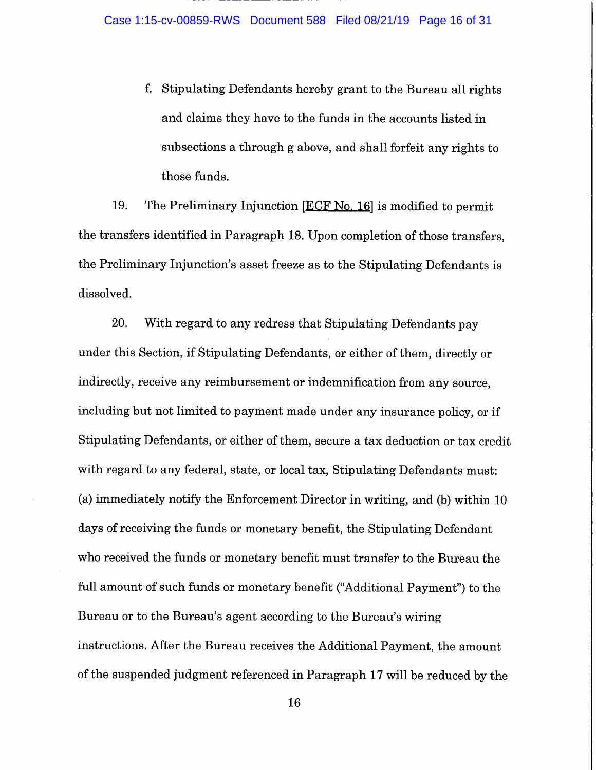f. Stipulating Defendants hereby grant to the Bureau all rights and claims they have to the funds in the accounts listed in subsections a through g above, and shall forfeit any rights to those funds.

19. The Preliminary Injunction [BCF No. 16] is modified to permit the transfers identified in Paragraph 18. Upon completion of those transfers, the Preliminary Injunction's asset freeze as to the Stipulating Defendants is dissolved.

20. With regard to any redress that Stipulating Defendants pay under this Section, if Stipulating Defendants, or either of them, directly or indirectly, receive any reimbursement or indemnification from any source, including but not limited to payment made under any insurance policy, or if Stipulating Defendants, or either of them, secure a tax deduction or tax credit with regard to any federal, state, or local tax, Stipulating Defendants must: (a) immediately notify the Enforcement Director in writing, and (b) within 10 days of receiving the funds or monetary benefit, the Stipulating Defendant who received the funds or monetary benefit must transfer to the Bureau the full amount of such funds or monetary benefit ("Additional Payment") to the Bureau or to the Bureau's agent according to the Bureau's wiring instructions. After the Bureau receives the Additional Payment, the amount of the suspended judgment referenced in Paragraph 17 will be reduced by the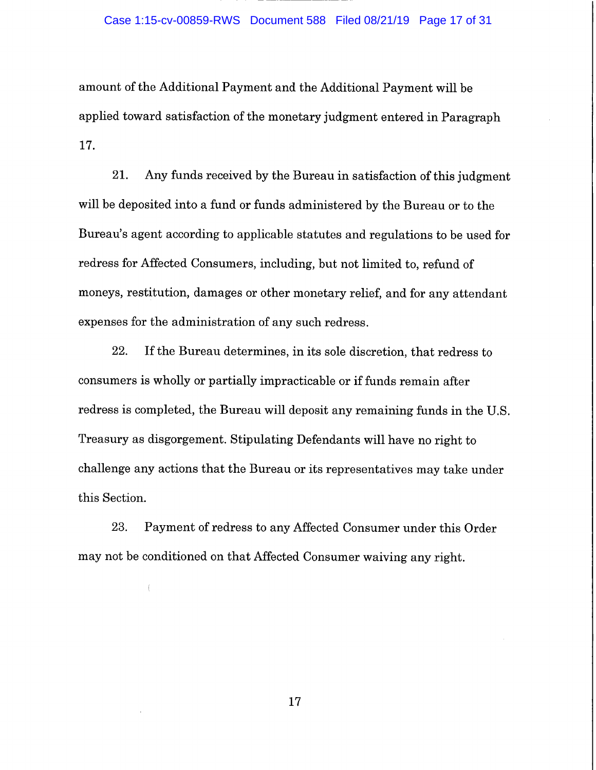#### Case 1:15-cv-00859-RWS Document 588 Filed 08/21/19 Page 17 of 31

amount of the Additional Payment and the Additional Payment will be applied toward satisfaction of the monetary judgment entered in Paragraph 17.

21. Any funds received by the Bureau in satisfaction of this judgment will be deposited into a fund or funds administered by the Bureau or to the Bureau's agent according to applicable statutes and regulations to be used for redress for Affected Consumers, including, but not limited to, refund of moneys, restitution, damages or other monetary relief, and for any attendant expenses for the administration of any such redress.

22. If the Bureau determines, in its sole discretion, that redress to consumers is wholly or partially impracticable or if funds remain after redress is completed, the Bureau will deposit any remaining funds in the U.S. Treasury as disgorgement. Stipulating Defendants will have no right to challenge any actions that the Bureau or its representatives may take under this Section.

23. Payment of redress to any Affected Consumer under this Order may not be conditioned on that Affected Consumer waiving any right.

 $\left\langle \right\rangle$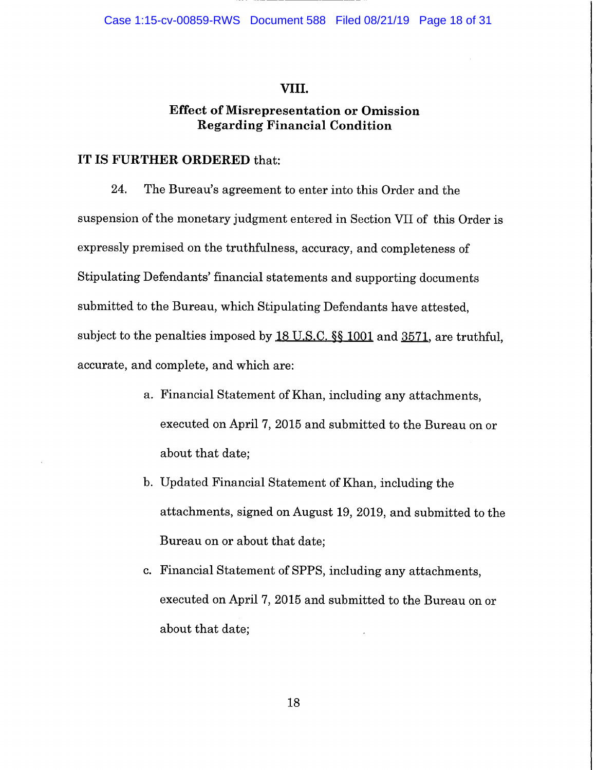## VIII.

## **Effect of Misrepresentation or Omission Regarding Financial Condition**

## **IT IS FURTHER ORDERED** that:

24. The Bureau's agreement to enter into this Order and the suspension of the monetary judgment entered in Section VII of this Order is expressly premised on the truthfulness, accuracy, and completeness of Stipulating Defendants' financial statements and supporting documents submitted to the Bureau, which Stipulating Defendants have attested, subject to the penalties imposed by 18 U.S.C.  $\$  1001 and 3571, are truthful, accurate, and complete, and which are:

- a. Financial Statement of Khan, including any attachments, executed on April 7, 2015 and submitted to the Bureau on or about that date;
- b. Updated Financial Statement of Khan, including the attachments, signed on August 19, 2019, and submitted to the Bureau on or about that date;
- c. Financial Statement of SPPS, including any attachments, executed on April 7, 2015 and submitted to the Bureau on or about that date;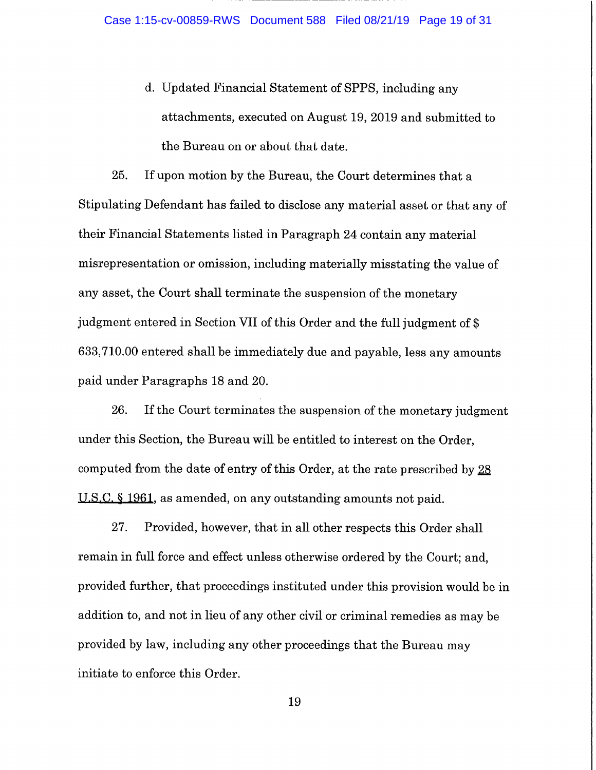d. Updated Financial Statement of SPPS, including any attachments, executed on August 19, 2019 and submitted to the Bureau on or about that date.

25. If upon motion by the Bureau, the Court determines that a Stipulating Defendant has failed to disclose any material asset or that any of their Financial Statements listed in Paragraph 24 contain any material misrepresentation or omission, including materially misstating the value of any asset, the Court shall terminate the suspension of the monetary judgment entered in Section VII of this Order and the full judgment of \$ 633,710.00 entered shall be immediately due and payable, less any amounts paid under Paragraphs 18 and 20.

26. If the Court terminates the suspension of the monetary judgment under this Section, the Bureau will be entitled to interest on the Order, computed from the date of entry of this Order, at the rate prescribed by  $28$ U.S.C. § 1961, as amended, on any outstanding amounts not paid.

27. Provided, however, that in all other respects this Order shall remain in full force and effect unless otherwise ordered by the Court; and, provided further, that proceedings instituted under this provision would be in addition to, and not in lieu of any other civil or criminal remedies as may be provided by law, including any other proceedings that the Bureau may initiate to enforce this Order.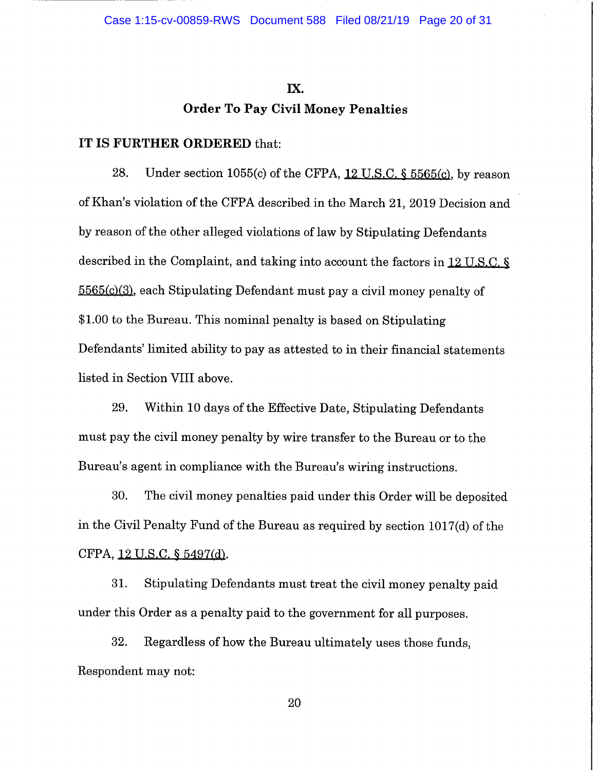## **lX. Order To Pay Civil Money Penalties**

#### **IT IS FURTHER ORDERED** that:

28. Under section 1055(c) of the CFPA,  $12$  U.S.C. § 5565(c), by reason of Khan's violation of the CFPA described in the March 21, 2019 Decision and by reason of the other alleged violations of law by Stipulating Defendants described in the Complaint, and taking into account the factors in  $12$  U.S.C. § 5565(0(3), each Stipulating Defendant must pay a civil money penalty of \$1.00 to the Bureau. This nominal penalty is based on Stipulating Defendants' limited ability to pay as attested to in their financial statements listed in Section VIII above.

29. Within 10 days of the Effective Date, Stipulating Defendants must pay the civil money penalty by wire transfer to the Bureau or to the Bureau's agent in compliance with the Bureau's wiring instructions.

30. The civil money penalties paid under this Order will be deposited in the Civil Penalty Fund of the Bureau as required by section 1017(d) of the CFPA, 12 U.S.C. § 5497(d).

31. Stipulating Defendants must treat the civil money penalty paid under this Order as a penalty paid to the government for all purposes.

32. Regardless of how the Bureau ultimately uses those funds, Respondent may not: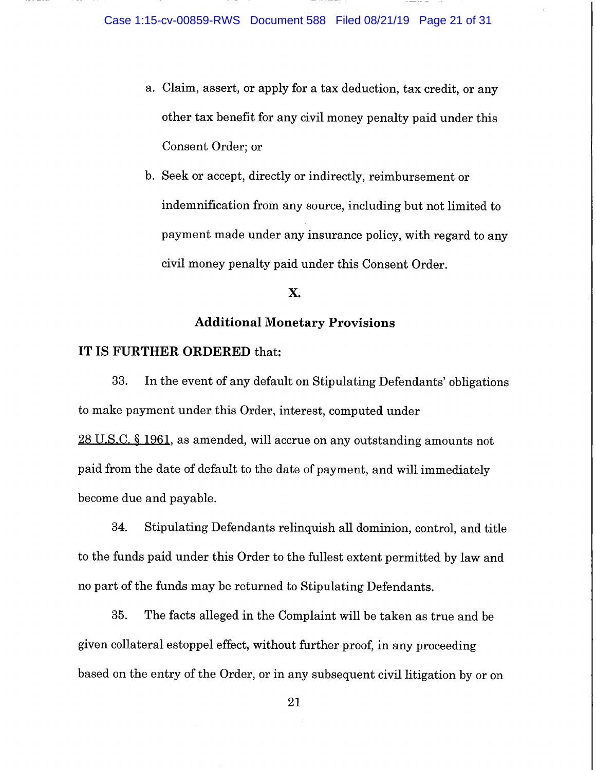- a. Claim, assert, or apply for a tax deduction, tax credit, or any other tax benefit for any civil money penalty paid under this Consent Order; or
- b. Seek or accept, directly or indirectly, reimbursement or indemnification from any source, including but not limited to payment made under any insurance policy, with regard to any civil money penalty paid under this Consent Order.

## **X.**

## **Additional Monetary Provisions**

## **IT IS FURTHER ORDERED** that:

33. In the event of any default on Stipulating Defendants' obligations to make payment under this Order, interest, computed under 28 U.S.C. § 1961, as amended, will accrue on any outstanding amounts not paid from the date of default to the date of payment, and will immediately become due and payable.

34. Stipulating Defendants relinquish all dominion, control, and title to the funds paid under this Order to the fullest extent permitted by law and no part of the funds may be returned to Stipulating Defendants.

35. The facts alleged in the Complaint will be taken as true and be given collateral estoppel effect, without further proof, in any proceeding based on the entry of the Order, or in any subsequent civil litigation by or on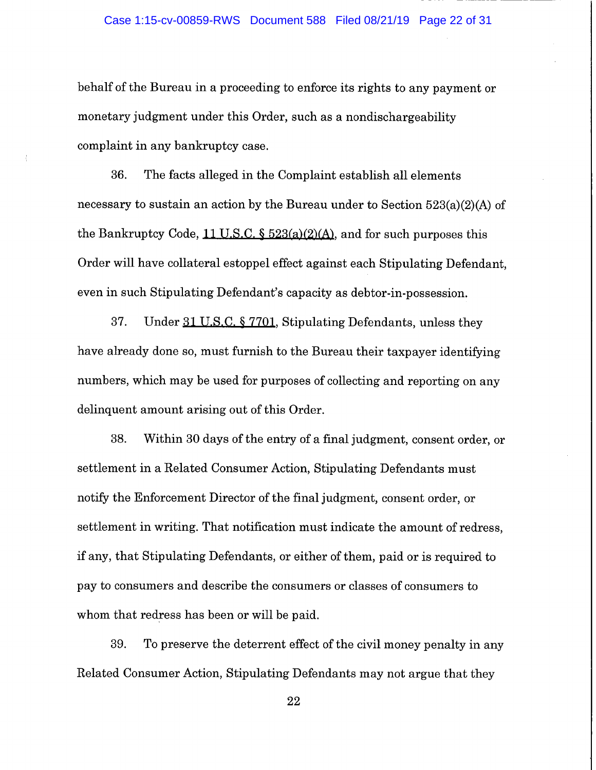behalf of the Bureau in a proceeding to enforce its rights to any payment or monetary judgment under this Order, such as a nondischargeability complaint in any bankruptcy case.

36. The facts alleged in the Complaint establish all elements necessary to sustain an action by the Bureau under to Section 523(a)(2)(A) of the Bankruptcy Code,  $11$  U.S.C. §  $523(a)(2)(A)$ , and for such purposes this Order will have collateral estoppel effect against each Stipulating Defendant, even in such Stipulating Defendant's capacity as debtor-in-possession.

37. Under 31 U.S.C. § 7701, Stipulating Defendants, unless they have already done so, must furnish to the Bureau their taxpayer identifying numbers, which may be used for purposes of collecting and reporting on any delinquent amount arising out of this Order.

38. Within 30 days of the entry of a final judgment, consent order, or settlement in a Related Consumer Action, Stipulating Defendants must notify the Enforcement Director of the final judgment, consent order, or settlement in writing. That notification must indicate the amount of redress, if any, that Stipulating Defendants, or either of them, paid or is required to pay to consumers and describe the consumers or classes of consumers to whom that redress has been or will be paid.

39. To preserve the deterrent effect of the civil money penalty in any Related Consumer Action, Stipulating Defendants may not argue that they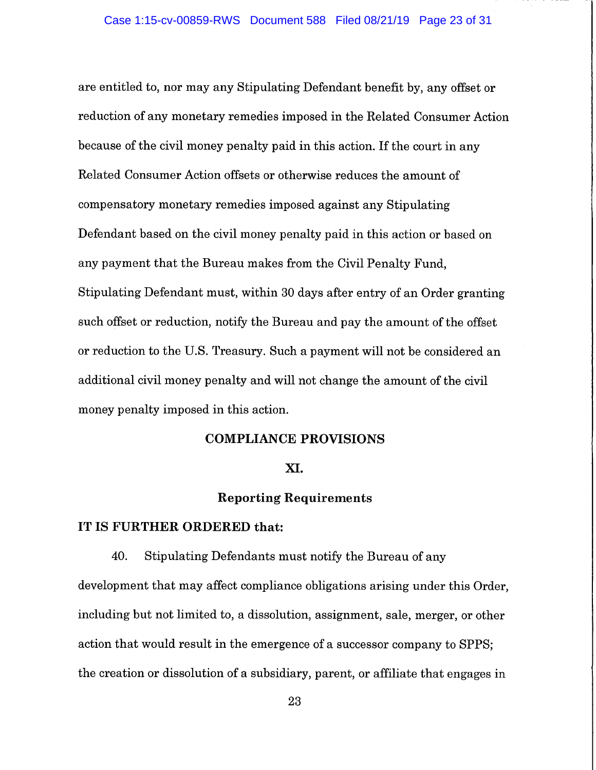are entitled to, nor may any Stipulating Defendant benefit by, any offset or reduction of any monetary remedies imposed in the Related Consumer Action because of the civil money penalty paid in this action. If the court in any Related Consumer Action offsets or otherwise reduces the amount of compensatory monetary remedies imposed against any Stipulating Defendant based on the civil money penalty paid in this action or based on any payment that the Bureau makes from the Civil Penalty Fund, Stipulating Defendant must, within 30 days after entry of an Order granting such offset or reduction, notify the Bureau and pay the amount of the offset or reduction to the U.S. Treasury. Such a payment will not be considered an additional civil money penalty and will not change the amount of the civil money penalty imposed in this action.

#### **COMPLIANCE PROVISIONS**

#### **XI.**

## **Reporting Requirements**

#### **IT IS FURTHER ORDERED that:**

40. Stipulating Defendants must notify the Bureau of any development that may affect compliance obligations arising under this Order, including but not limited to, a dissolution, assignment, sale, merger, or other action that would result in the emergence of a successor company to SPPS; the creation or dissolution of a subsidiary, parent, or affiliate that engages in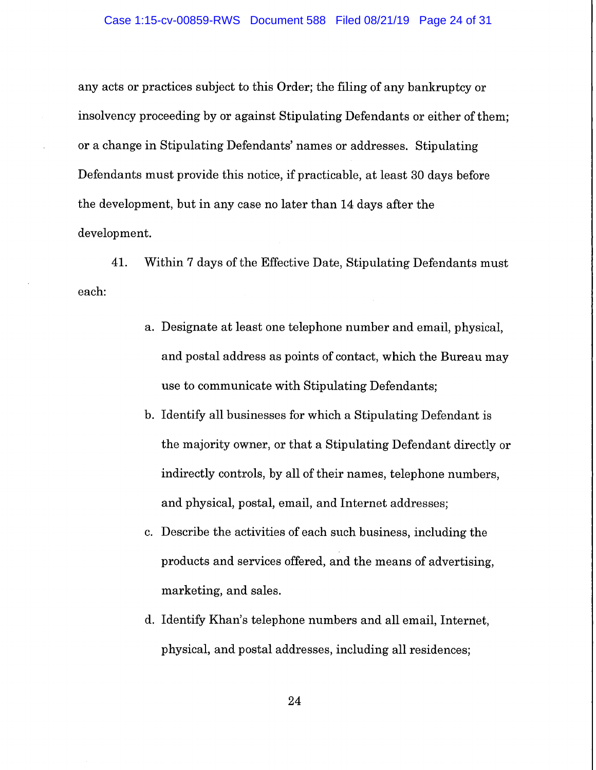any acts or practices subject to this Order; the filing of any bankruptcy or insolvency proceeding by or against Stipulating Defendants or either of them; or a change in Stipulating Defendants' names or addresses. Stipulating Defendants must provide this notice, if practicable, at least 30 days before the development, but in any case no later than 14 days after the development.

41. Within 7 days of the Effective Date, Stipulating Defendants must each:

- a. Designate at least one telephone number and email, physical, and postal address as points of contact, which the Bureau may use to communicate with Stipulating Defendants;
- b. Identify all businesses for which a Stipulating Defendant is the majority owner, or that a Stipulating Defendant directly or indirectly controls, by all of their names, telephone numbers, and physical, postal, email, and Internet addresses;
- c. Describe the activities of each such business, including the products and services offered, and the means of advertising, marketing, and sales.
- d. Identify Khan's telephone numbers and all email, Internet, physical, and postal addresses, including all residences;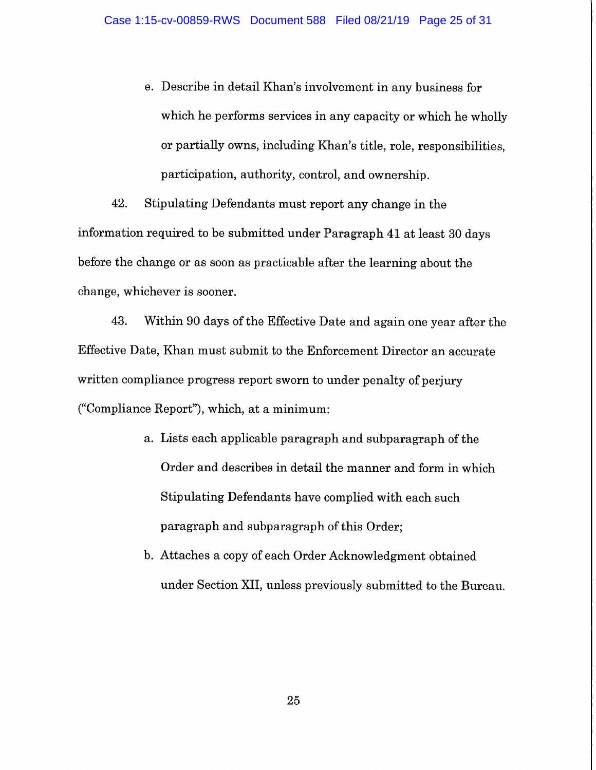e. Describe in detail Khan's involvement in any business for which he performs services in any capacity or which he wholly or partially owns, including Khan's title, role, responsibilities, participation, authority, control, and ownership.

42. Stipulating Defendants must report any change in the information required to be submitted under Paragraph 41 at least 30 days before the change or as soon as practicable after the learning about the change, whichever is sooner.

43. Within 90 days of the Effective Date and again one year after the Effective Date, Khan must submit to the Enforcement Director an accurate written compliance progress report sworn to under penalty of perjury ("Compliance Report"), which, at a minimum:

- a. Lists each applicable paragraph and subparagraph of the Order and describes in detail the manner and form in which Stipulating Defendants have complied with each such paragraph and subparagraph of this Order;
- b. Attaches a copy of each Order Acknowledgment obtained under Section XII, unless previously submitted to the Bureau.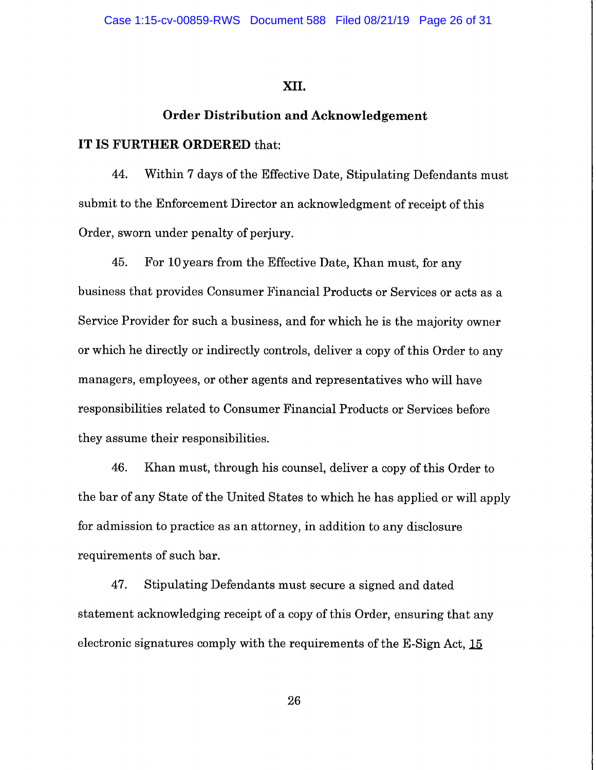## **XII.**

## **Order Distribution and Acknowledgement**

## **IT IS FURTHER ORDERED** that:

44. Within 7 days of the Effective Date, Stipulating Defendants must submit to the Enforcement Director an acknowledgment of receipt of this Order, sworn under penalty of perjury.

45. For 10 years from the Effective Date, Khan must, for any business that provides Consumer Financial Products or Services or acts as a Service Provider for such a business, and for which he is the majority owner or which he directly or indirectly controls, deliver a copy of this Order to any managers, employees, or other agents and representatives who will have responsibilities related to Consumer Financial Products or Services before they assume their responsibilities.

46. Khan must, through his counsel, deliver a copy of this Order to the bar of any State of the United States to which he has applied or will apply for admission to practice as an attorney, in addition to any disclosure requirements of such bar.

47. Stipulating Defendants must secure a signed and dated statement acknowledging receipt of a copy of this Order, ensuring that any electronic signatures comply with the requirements of the  $E$ -Sign Act,  $15$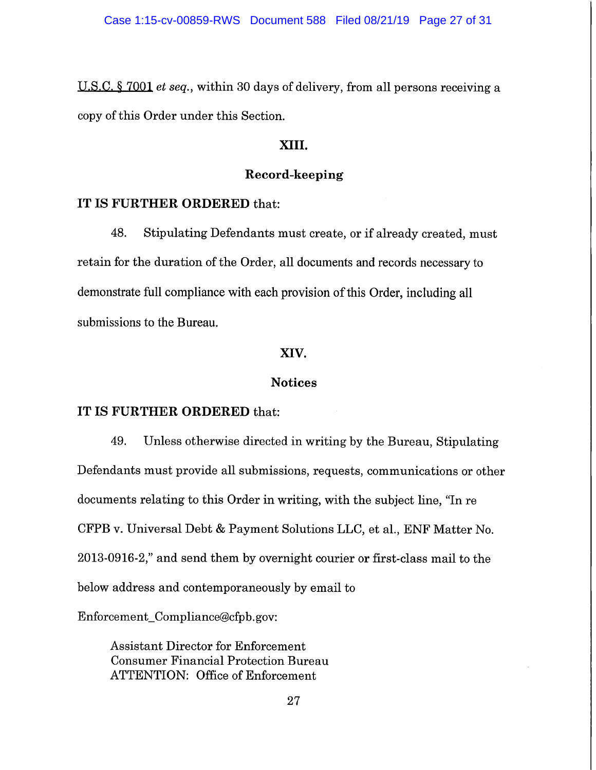U.S.C. § 7001 et seq., within 30 days of delivery, from all persons receiving a copy of this Order under this Section.

## **XIII.**

## **Record-keeping**

#### **IT IS FURTHER ORDERED** that:

48. Stipulating Defendants must create, or if already created, must retain for the duration of the Order, all documents and records necessary to demonstrate full compliance with each provision of this Order, including all submissions to the Bureau.

## **XIV.**

## **Notices**

### **IT IS FURTHER ORDERED** that:

49. Unless otherwise directed in writing by the Bureau, Stipulating Defendants must provide all submissions, requests, communications or other documents relating to this Order in writing, with the subject line, "In re CFPB v. Universal Debt & Payment Solutions LLC, et al., ENF Matter No. 2013-0916-2," and send them by overnight courier or first-class mail to the below address and contemporaneously by email to

Enforcement\_Compliance@cfpb.gov:

Assistant Director for Enforcement Consumer Financial Protection Bureau ATTENTION: Office of Enforcement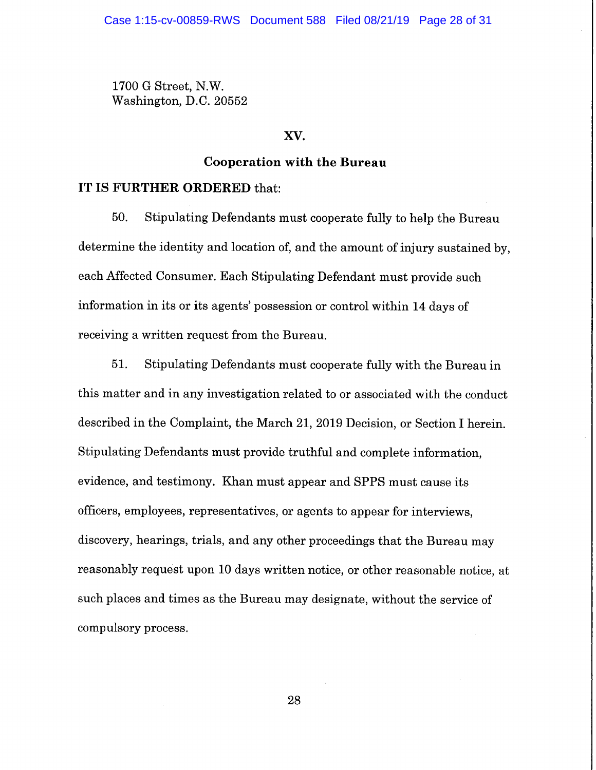1700 G Street, N.W. Washington, D.C. 20552

#### **XV.**

#### **Cooperation with the Bureau**

## **IT IS FURTHER ORDERED** that:

50. Stipulating Defendants must cooperate fully to help the Bureau determine the identity and location of, and the amount of injury sustained by, each Affected Consumer. Each Stipulating Defendant must provide such information in its or its agents' possession or control within 14 days of receiving a written request from the Bureau.

51. Stipulating Defendants must cooperate fully with the Bureau in this matter and in any investigation related to or associated with the conduct described in the Complaint, the March 21, 2019 Decision, or Section I herein. Stipulating Defendants must provide truthful and complete information, evidence, and testimony. Khan must appear and SPPS must cause its officers, employees, representatives, or agents to appear for interviews, discovery, hearings, trials, and any other proceedings that the Bureau may reasonably request upon 10 days written notice, or other reasonable notice, at such places and times as the Bureau may designate, without the service of compulsory process.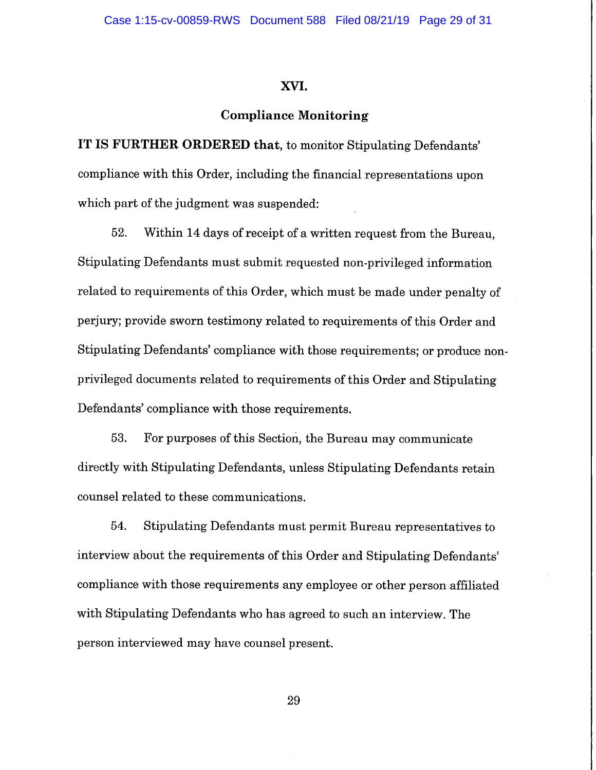#### **XVI.**

#### **Compliance Monitoring**

**IT IS FURTHER ORDERED that,** to monitor Stipulating Defendants' compliance with this Order, including the financial representations upon which part of the judgment was suspended:

52. Within 14 days of receipt of a written request from the Bureau, Stipulating Defendants must submit requested non-privileged information related to requirements of this Order, which must be made under penalty of perjury; provide sworn testimony related to requirements of this Order and Stipulating Defendants' compliance with those requirements; or produce nonprivileged documents related to requirements of this Order and Stipulating Defendants' compliance with those requirements.

53. For purposes of this Section, the Bureau may communicate directly with Stipulating Defendants, unless Stipulating Defendants retain counsel related to these communications.

54. Stipulating Defendants must permit Bureau representatives to interview about the requirements of this Order and Stipulating Defendants' compliance with those requirements any employee or other person affiliated with Stipulating Defendants who has agreed to such an interview. The person interviewed may have counsel present.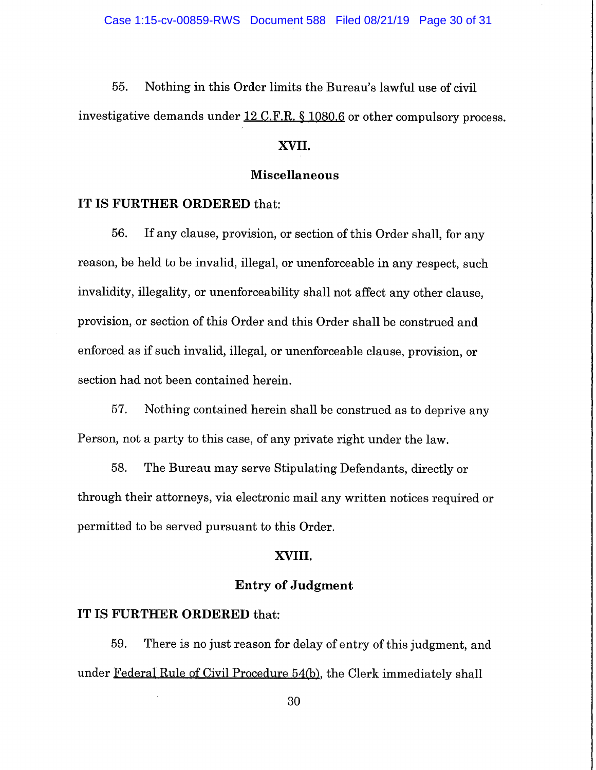55. Nothing in this Order limits the Bureau's lawful use of civil investigative demands under 12 C.F.R. § 1080.6 or other compulsory process.

## **XVII.**

## **Miscellaneous**

#### **IT IS FURTHER ORDERED** that:

56. If any clause, provision, or section of this Order shall, for any reason, be held to be invalid, illegal, or unenforceable in any respect, such invalidity, illegality, or unenforceability shall not affect any other clause, provision, or section of this Order and this Order shall be construed and enforced as if such invalid, illegal, or unenforceable clause, provision, or section had not been contained herein.

57. Nothing contained herein shall be construed as to deprive any Person, not a party to this case, of any private right under the law.

58. The Bureau may serve Stipulating Defendants, directly or through their attorneys, via electronic mail any written notices required or permitted to be served pursuant to this Order.

#### **XVIII.**

## **Entry of Judgment**

#### **IT IS FURTHER ORDERED** that:

59. There is no just reason for delay of entry of this judgment, and under Federal Rule of Civil Procedure 54(b), the Clerk immediately shall